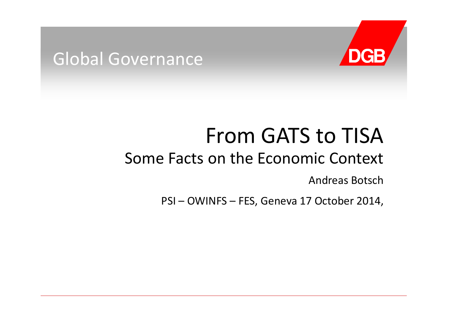# **DGB**

### Global Governance

## From GATS to TISA

### Some Facts on the Economic Context

Andreas Botsch

PSI – OWINFS – FES, Geneva 17 October 2014,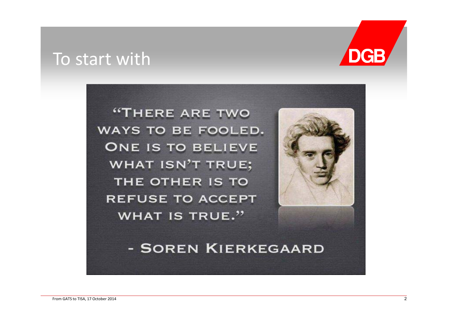#### To start with



"THERE ARE TWO WAYS TO BE FOOLED. **ONE IS TO BELIEVE WHAT ISN'T TRUE;** THE OTHER IS TO **REFUSE TO ACCEPT WHAT IS TRUE."** 



- SOREN KIERKEGAARD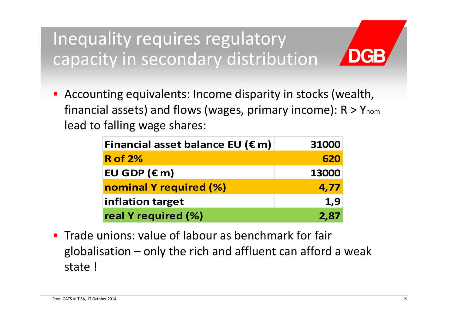Inequality requires regulatory capacity in secondary distribution

Ξ Accounting equivalents: Income disparity in stocks (wealth, financial assets) and flows (wages, primary income): R > Ynom lead to falling wage shares:

| Financial asset balance EU ( $\epsilon$ m) | 31000 |
|--------------------------------------------|-------|
| <b>R</b> of 2%                             | 620   |
| EU GDP $(\epsilon m)$                      | 13000 |
| nominal Y required (%)                     | 4,77  |
| inflation target                           | 1,9   |
| real Y required (%)                        | 2,87  |

**Trade unions: value of labour as benchmark for fair** globalisation – only the rich and affluent can afford <sup>a</sup> weak state !

DGB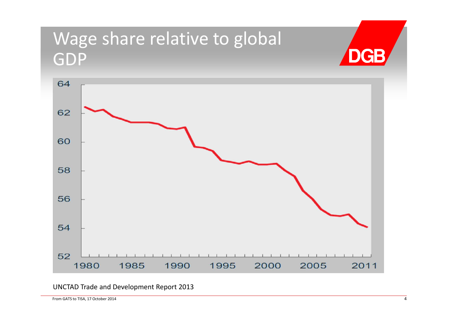## Wage share relative to global **DGB** GDP 64 62



UNCTAD Trade and Development Report 2013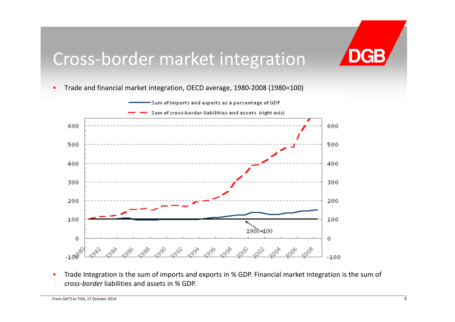## Cross‐border market integration

 $\blacksquare$ ■ Trade and financial market integration, OECD average, 1980-2008 (1980=100)



 $\blacksquare$ **Trade Integration is the sum of imports and exports in % GDP. Financial market integration is the sum of Theori** *cross‐border* liabilities and assets in % GDP.

**DGB**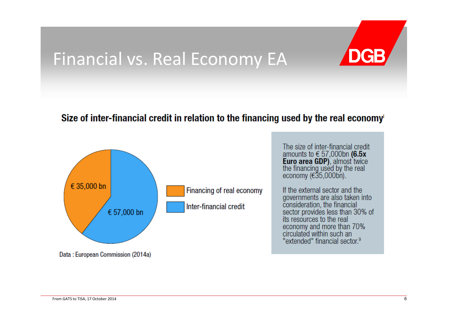## Financial vs. Real Economy EA

## DGB

#### Size of inter-financial credit in relation to the financing used by the real economy

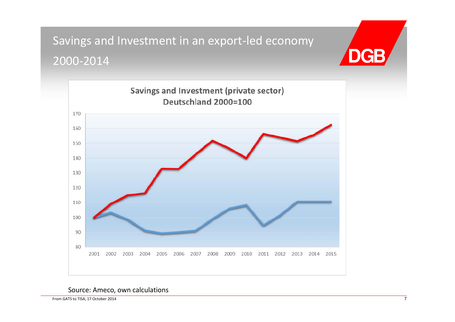Savings and Investment in an export‐led economy 2000‐2014



Source: Ameco, own calculations

From GATS to TISA, 17 October 2014 7

**DGB**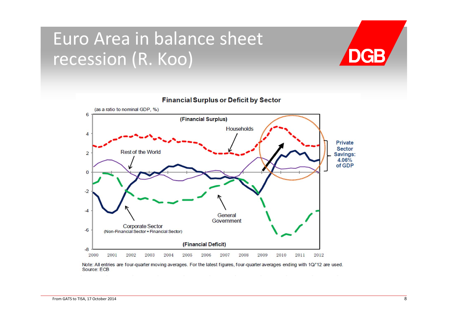## Euro Area in balance sheet recession (R. Koo)





#### **Financial Surplus or Deficit by Sector**

Note: All entries are four-quarter moving averages. For the latest figures, four-quarter averages ending with 1Q/'12 are used. Source: ECB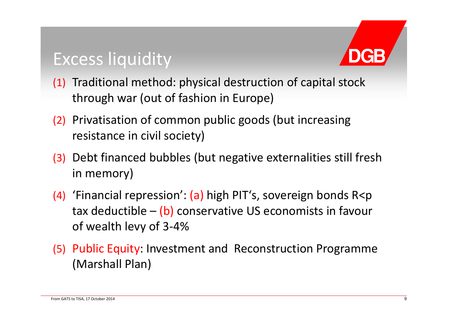## Excess liquidity



- (1) Traditional method: physical destruction of capital stock through war (out of fashion in Europe)
- (2) Privatisation of common public goods (but increasing resistance in civil society)
- (3) Debt financed bubbles (but negative externalities still fresh in memory)
- (4) 'Financial repression': (a) high PIT's, sovereign bonds R<p tax deductible – (b) conservative US economists in favour of wealth levy of 3‐4%
- (5) Public Equity: Investment and Reconstruction Programme (Marshall Plan)